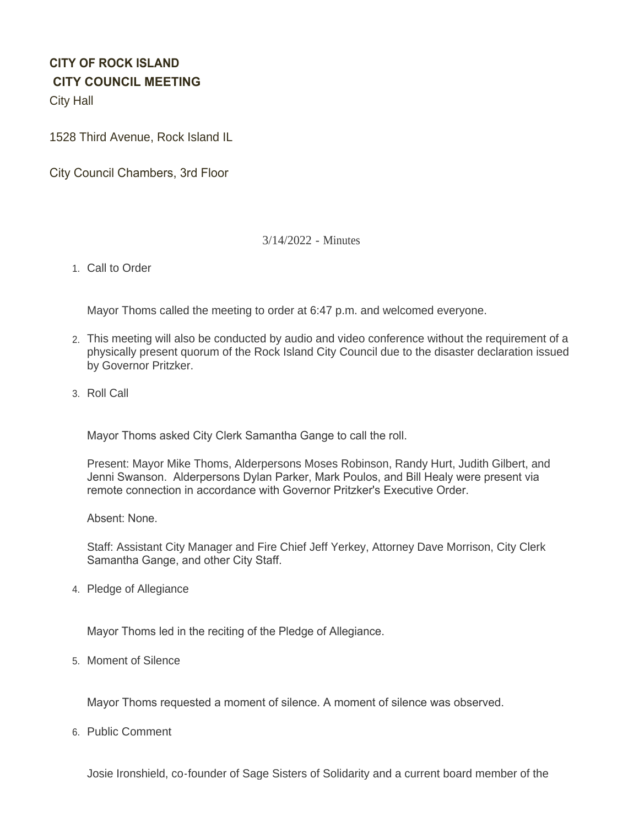# **CITY OF ROCK ISLAND CITY COUNCIL MEETING**

City Hall

1528 Third Avenue, Rock Island IL

City Council Chambers, 3rd Floor

## 3/14/2022 - Minutes

1. Call to Order

Mayor Thoms called the meeting to order at 6:47 p.m. and welcomed everyone.

- This meeting will also be conducted by audio and video conference without the requirement of a 2. physically present quorum of the Rock Island City Council due to the disaster declaration issued by Governor Pritzker.
- 3. Roll Call

Mayor Thoms asked City Clerk Samantha Gange to call the roll.

Present: Mayor Mike Thoms, Alderpersons Moses Robinson, Randy Hurt, Judith Gilbert, and Jenni Swanson. Alderpersons Dylan Parker, Mark Poulos, and Bill Healy were present via remote connection in accordance with Governor Pritzker's Executive Order.

Absent: None.

Staff: Assistant City Manager and Fire Chief Jeff Yerkey, Attorney Dave Morrison, City Clerk Samantha Gange, and other City Staff.

4. Pledge of Allegiance

Mayor Thoms led in the reciting of the Pledge of Allegiance.

5. Moment of Silence

Mayor Thoms requested a moment of silence. A moment of silence was observed.

6. Public Comment

Josie Ironshield, co-founder of Sage Sisters of Solidarity and a current board member of the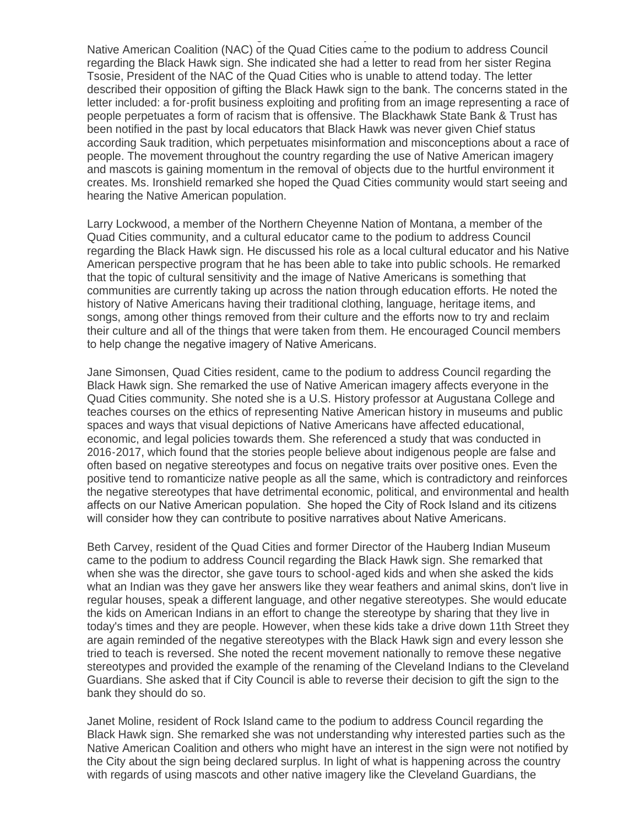Josie Ironshield, co-founder of Sage Sisters of Solidarity and a current board member of the Native American Coalition (NAC) of the Quad Cities came to the podium to address Council regarding the Black Hawk sign. She indicated she had a letter to read from her sister Regina Tsosie, President of the NAC of the Quad Cities who is unable to attend today. The letter described their opposition of gifting the Black Hawk sign to the bank. The concerns stated in the letter included: a for-profit business exploiting and profiting from an image representing a race of people perpetuates a form of racism that is offensive. The Blackhawk State Bank & Trust has been notified in the past by local educators that Black Hawk was never given Chief status according Sauk tradition, which perpetuates misinformation and misconceptions about a race of people. The movement throughout the country regarding the use of Native American imagery and mascots is gaining momentum in the removal of objects due to the hurtful environment it creates. Ms. Ironshield remarked she hoped the Quad Cities community would start seeing and hearing the Native American population.

Larry Lockwood, a member of the Northern Cheyenne Nation of Montana, a member of the Quad Cities community, and a cultural educator came to the podium to address Council regarding the Black Hawk sign. He discussed his role as a local cultural educator and his Native American perspective program that he has been able to take into public schools. He remarked that the topic of cultural sensitivity and the image of Native Americans is something that communities are currently taking up across the nation through education efforts. He noted the history of Native Americans having their traditional clothing, language, heritage items, and songs, among other things removed from their culture and the efforts now to try and reclaim their culture and all of the things that were taken from them. He encouraged Council members to help change the negative imagery of Native Americans.

Jane Simonsen, Quad Cities resident, came to the podium to address Council regarding the Black Hawk sign. She remarked the use of Native American imagery affects everyone in the Quad Cities community. She noted she is a U.S. History professor at Augustana College and teaches courses on the ethics of representing Native American history in museums and public spaces and ways that visual depictions of Native Americans have affected educational, economic, and legal policies towards them. She referenced a study that was conducted in 2016-2017, which found that the stories people believe about indigenous people are false and often based on negative stereotypes and focus on negative traits over positive ones. Even the positive tend to romanticize native people as all the same, which is contradictory and reinforces the negative stereotypes that have detrimental economic, political, and environmental and health affects on our Native American population. She hoped the City of Rock Island and its citizens will consider how they can contribute to positive narratives about Native Americans.

Beth Carvey, resident of the Quad Cities and former Director of the Hauberg Indian Museum came to the podium to address Council regarding the Black Hawk sign. She remarked that when she was the director, she gave tours to school-aged kids and when she asked the kids what an Indian was they gave her answers like they wear feathers and animal skins, don't live in regular houses, speak a different language, and other negative stereotypes. She would educate the kids on American Indians in an effort to change the stereotype by sharing that they live in today's times and they are people. However, when these kids take a drive down 11th Street they are again reminded of the negative stereotypes with the Black Hawk sign and every lesson she tried to teach is reversed. She noted the recent movement nationally to remove these negative stereotypes and provided the example of the renaming of the Cleveland Indians to the Cleveland Guardians. She asked that if City Council is able to reverse their decision to gift the sign to the bank they should do so.

Janet Moline, resident of Rock Island came to the podium to address Council regarding the Black Hawk sign. She remarked she was not understanding why interested parties such as the Native American Coalition and others who might have an interest in the sign were not notified by the City about the sign being declared surplus. In light of what is happening across the country with regards of using mascots and other native imagery like the Cleveland Guardians, the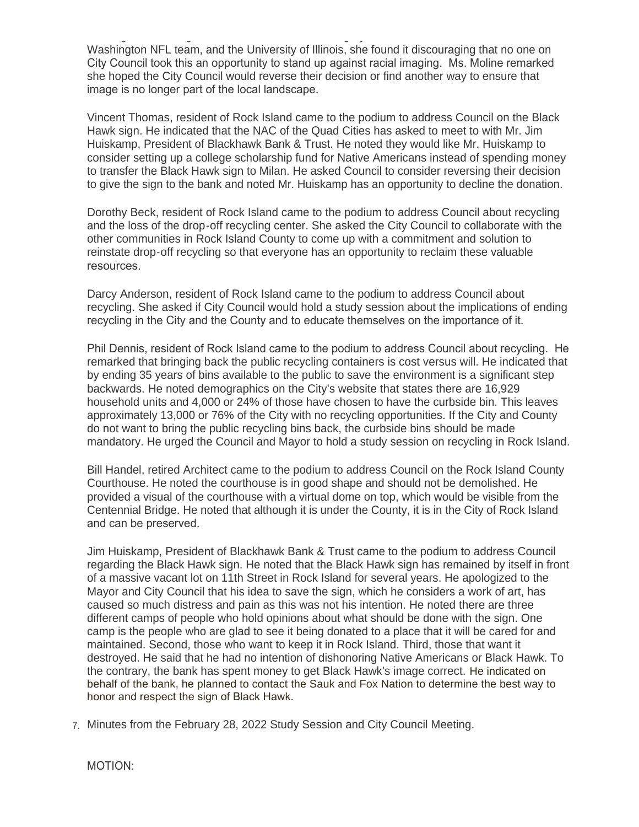with regards of using mascots and other native imagery like the Cleveland Guardians, the Washington NFL team, and the University of Illinois, she found it discouraging that no one on City Council took this an opportunity to stand up against racial imaging. Ms. Moline remarked she hoped the City Council would reverse their decision or find another way to ensure that image is no longer part of the local landscape.

Vincent Thomas, resident of Rock Island came to the podium to address Council on the Black Hawk sign. He indicated that the NAC of the Quad Cities has asked to meet to with Mr. Jim Huiskamp, President of Blackhawk Bank & Trust. He noted they would like Mr. Huiskamp to consider setting up a college scholarship fund for Native Americans instead of spending money to transfer the Black Hawk sign to Milan. He asked Council to consider reversing their decision to give the sign to the bank and noted Mr. Huiskamp has an opportunity to decline the donation.

Dorothy Beck, resident of Rock Island came to the podium to address Council about recycling and the loss of the drop-off recycling center. She asked the City Council to collaborate with the other communities in Rock Island County to come up with a commitment and solution to reinstate drop-off recycling so that everyone has an opportunity to reclaim these valuable resources.

Darcy Anderson, resident of Rock Island came to the podium to address Council about recycling. She asked if City Council would hold a study session about the implications of ending recycling in the City and the County and to educate themselves on the importance of it.

Phil Dennis, resident of Rock Island came to the podium to address Council about recycling. He remarked that bringing back the public recycling containers is cost versus will. He indicated that by ending 35 years of bins available to the public to save the environment is a significant step backwards. He noted demographics on the City's website that states there are 16,929 household units and 4,000 or 24% of those have chosen to have the curbside bin. This leaves approximately 13,000 or 76% of the City with no recycling opportunities. If the City and County do not want to bring the public recycling bins back, the curbside bins should be made mandatory. He urged the Council and Mayor to hold a study session on recycling in Rock Island.

Bill Handel, retired Architect came to the podium to address Council on the Rock Island County Courthouse. He noted the courthouse is in good shape and should not be demolished. He provided a visual of the courthouse with a virtual dome on top, which would be visible from the Centennial Bridge. He noted that although it is under the County, it is in the City of Rock Island and can be preserved.

Jim Huiskamp, President of Blackhawk Bank & Trust came to the podium to address Council regarding the Black Hawk sign. He noted that the Black Hawk sign has remained by itself in front of a massive vacant lot on 11th Street in Rock Island for several years. He apologized to the Mayor and City Council that his idea to save the sign, which he considers a work of art, has caused so much distress and pain as this was not his intention. He noted there are three different camps of people who hold opinions about what should be done with the sign. One camp is the people who are glad to see it being donated to a place that it will be cared for and maintained. Second, those who want to keep it in Rock Island. Third, those that want it destroyed. He said that he had no intention of dishonoring Native Americans or Black Hawk. To the contrary, the bank has spent money to get Black Hawk's image correct. He indicated on behalf of the bank, he planned to contact the Sauk and Fox Nation to determine the best way to honor and respect the sign of Black Hawk.

Minutes from the February 28, 2022 Study Session and City Council Meeting. 7.

MOTION: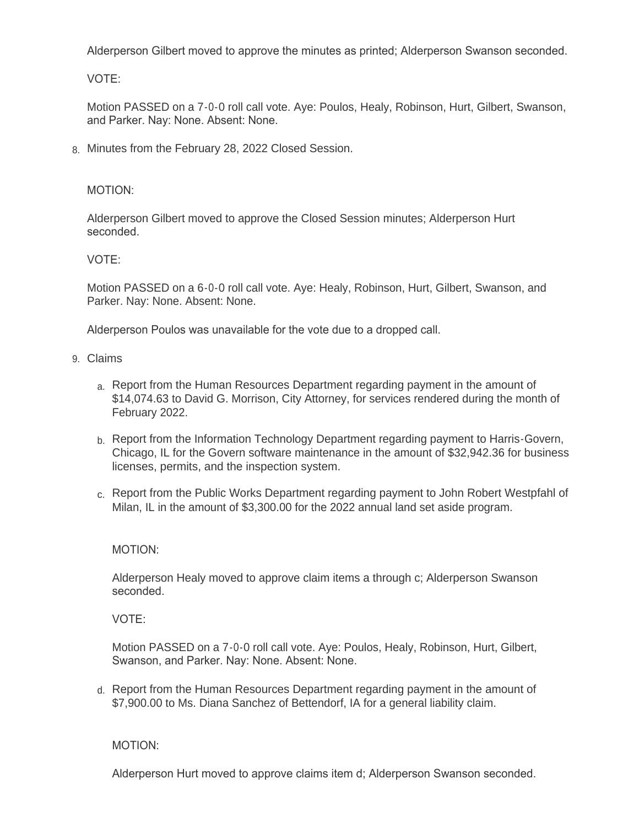Alderperson Gilbert moved to approve the minutes as printed; Alderperson Swanson seconded.

VOTE:

Motion PASSED on a 7-0-0 roll call vote. Aye: Poulos, Healy, Robinson, Hurt, Gilbert, Swanson, and Parker. Nay: None. Absent: None.

Minutes from the February 28, 2022 Closed Session. 8.

## MOTION:

Alderperson Gilbert moved to approve the Closed Session minutes; Alderperson Hurt seconded.

# VOTE:

Motion PASSED on a 6-0-0 roll call vote. Aye: Healy, Robinson, Hurt, Gilbert, Swanson, and Parker. Nay: None. Absent: None.

Alderperson Poulos was unavailable for the vote due to a dropped call.

- Claims 9.
	- a. Report from the Human Resources Department regarding payment in the amount of \$14,074.63 to David G. Morrison, City Attorney, for services rendered during the month of February 2022.
	- b. Report from the Information Technology Department regarding payment to Harris-Govern, Chicago, IL for the Govern software maintenance in the amount of \$32,942.36 for business licenses, permits, and the inspection system.
	- c. Report from the Public Works Department regarding payment to John Robert Westpfahl of Milan, IL in the amount of \$3,300.00 for the 2022 annual land set aside program.

## MOTION:

Alderperson Healy moved to approve claim items a through c; Alderperson Swanson seconded.

VOTE:

Motion PASSED on a 7-0-0 roll call vote. Aye: Poulos, Healy, Robinson, Hurt, Gilbert, Swanson, and Parker. Nay: None. Absent: None.

d. Report from the Human Resources Department regarding payment in the amount of \$7,900.00 to Ms. Diana Sanchez of Bettendorf, IA for a general liability claim.

MOTION:

Alderperson Hurt moved to approve claims item d; Alderperson Swanson seconded.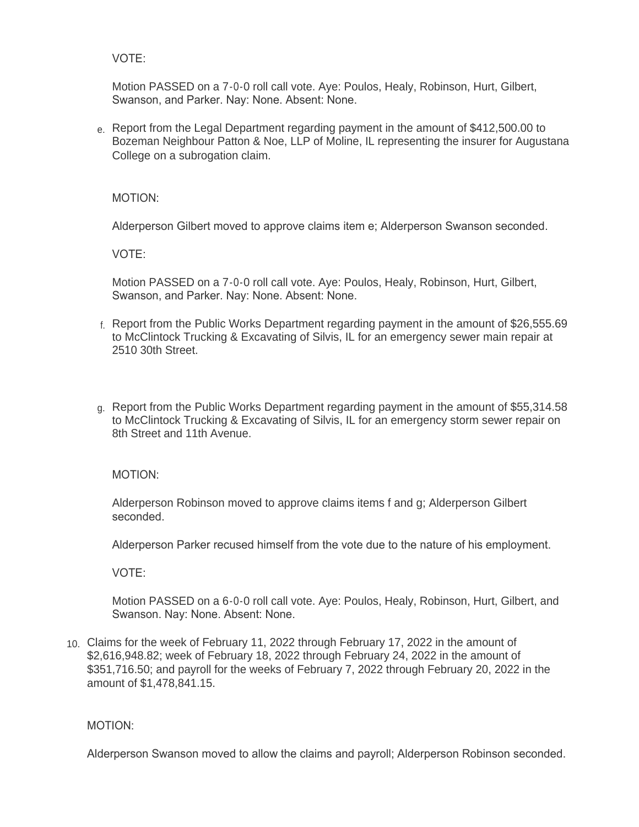VOTE:

Motion PASSED on a 7-0-0 roll call vote. Aye: Poulos, Healy, Robinson, Hurt, Gilbert, Swanson, and Parker. Nay: None. Absent: None.

e. Report from the Legal Department regarding payment in the amount of \$412,500.00 to Bozeman Neighbour Patton & Noe, LLP of Moline, IL representing the insurer for Augustana College on a subrogation claim.

MOTION:

Alderperson Gilbert moved to approve claims item e; Alderperson Swanson seconded.

VOTE:

Motion PASSED on a 7-0-0 roll call vote. Aye: Poulos, Healy, Robinson, Hurt, Gilbert, Swanson, and Parker. Nay: None. Absent: None.

- f. Report from the Public Works Department regarding payment in the amount of \$26,555.69 to McClintock Trucking & Excavating of Silvis, IL for an emergency sewer main repair at 2510 30th Street.
- g. Report from the Public Works Department regarding payment in the amount of \$55,314.58 to McClintock Trucking & Excavating of Silvis, IL for an emergency storm sewer repair on 8th Street and 11th Avenue.

MOTION:

Alderperson Robinson moved to approve claims items f and g; Alderperson Gilbert seconded.

Alderperson Parker recused himself from the vote due to the nature of his employment.

VOTE:

Motion PASSED on a 6-0-0 roll call vote. Aye: Poulos, Healy, Robinson, Hurt, Gilbert, and Swanson. Nay: None. Absent: None.

Claims for the week of February 11, 2022 through February 17, 2022 in the amount of 10. \$2,616,948.82; week of February 18, 2022 through February 24, 2022 in the amount of \$351,716.50; and payroll for the weeks of February 7, 2022 through February 20, 2022 in the amount of \$1,478,841.15.

MOTION:

Alderperson Swanson moved to allow the claims and payroll; Alderperson Robinson seconded.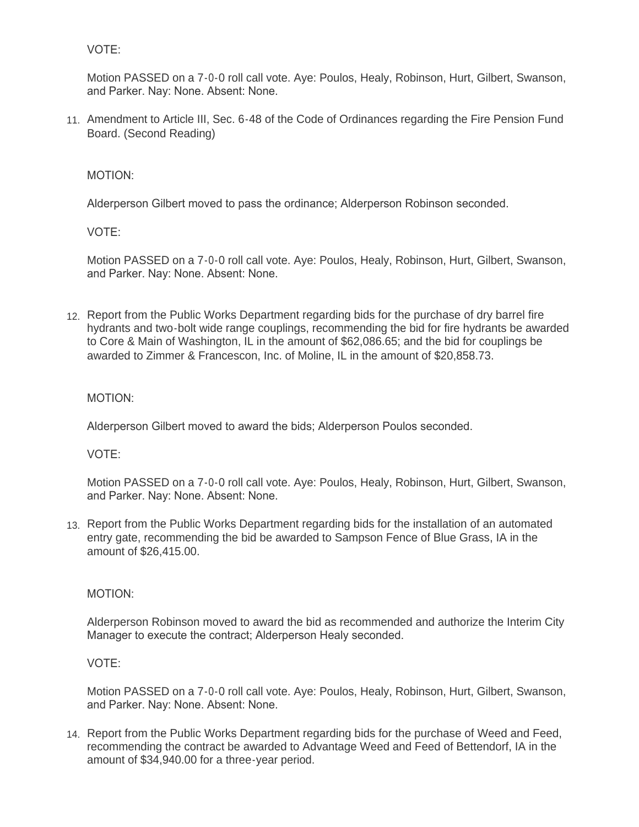VOTE:

Motion PASSED on a 7-0-0 roll call vote. Aye: Poulos, Healy, Robinson, Hurt, Gilbert, Swanson, and Parker. Nay: None. Absent: None.

11. Amendment to Article III, Sec. 6-48 of the Code of Ordinances regarding the Fire Pension Fund Board. (Second Reading)

MOTION:

Alderperson Gilbert moved to pass the ordinance; Alderperson Robinson seconded.

VOTE:

Motion PASSED on a 7-0-0 roll call vote. Aye: Poulos, Healy, Robinson, Hurt, Gilbert, Swanson, and Parker. Nay: None. Absent: None.

12. Report from the Public Works Department regarding bids for the purchase of dry barrel fire hydrants and two-bolt wide range couplings, recommending the bid for fire hydrants be awarded to Core & Main of Washington, IL in the amount of \$62,086.65; and the bid for couplings be awarded to Zimmer & Francescon, Inc. of Moline, IL in the amount of \$20,858.73.

MOTION:

Alderperson Gilbert moved to award the bids; Alderperson Poulos seconded.

VOTE:

Motion PASSED on a 7-0-0 roll call vote. Aye: Poulos, Healy, Robinson, Hurt, Gilbert, Swanson, and Parker. Nay: None. Absent: None.

13. Report from the Public Works Department regarding bids for the installation of an automated entry gate, recommending the bid be awarded to Sampson Fence of Blue Grass, IA in the amount of \$26,415.00.

MOTION:

Alderperson Robinson moved to award the bid as recommended and authorize the Interim City Manager to execute the contract; Alderperson Healy seconded.

VOTE:

Motion PASSED on a 7-0-0 roll call vote. Aye: Poulos, Healy, Robinson, Hurt, Gilbert, Swanson, and Parker. Nay: None. Absent: None.

14. Report from the Public Works Department regarding bids for the purchase of Weed and Feed, recommending the contract be awarded to Advantage Weed and Feed of Bettendorf, IA in the amount of \$34,940.00 for a three-year period.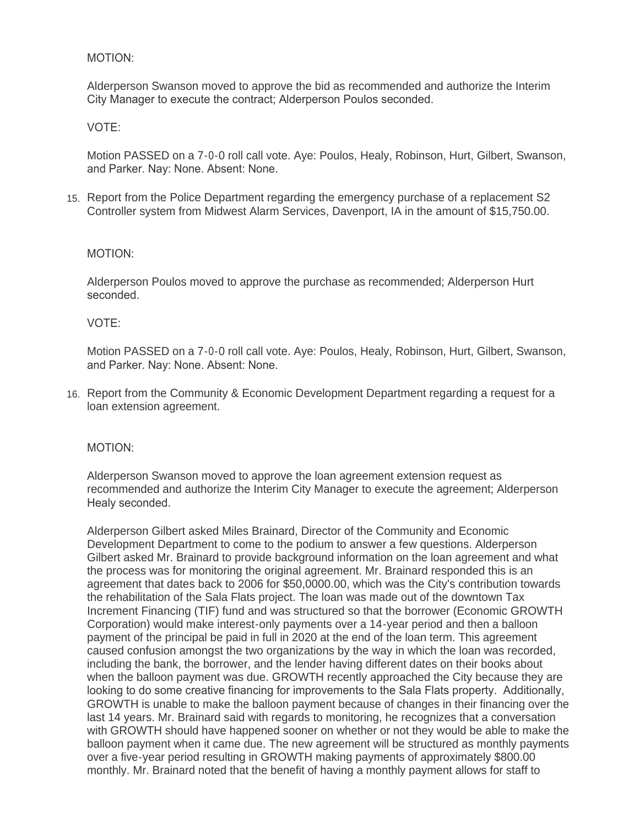#### MOTION:

Alderperson Swanson moved to approve the bid as recommended and authorize the Interim City Manager to execute the contract; Alderperson Poulos seconded.

# VOTE:

Motion PASSED on a 7-0-0 roll call vote. Aye: Poulos, Healy, Robinson, Hurt, Gilbert, Swanson, and Parker. Nay: None. Absent: None.

15. Report from the Police Department regarding the emergency purchase of a replacement S2 Controller system from Midwest Alarm Services, Davenport, IA in the amount of \$15,750.00.

#### MOTION:

Alderperson Poulos moved to approve the purchase as recommended; Alderperson Hurt seconded.

#### VOTE:

Motion PASSED on a 7-0-0 roll call vote. Aye: Poulos, Healy, Robinson, Hurt, Gilbert, Swanson, and Parker. Nay: None. Absent: None.

16. Report from the Community & Economic Development Department regarding a request for a loan extension agreement.

#### MOTION:

Alderperson Swanson moved to approve the loan agreement extension request as recommended and authorize the Interim City Manager to execute the agreement; Alderperson Healy seconded.

Alderperson Gilbert asked Miles Brainard, Director of the Community and Economic Development Department to come to the podium to answer a few questions. Alderperson Gilbert asked Mr. Brainard to provide background information on the loan agreement and what the process was for monitoring the original agreement. Mr. Brainard responded this is an agreement that dates back to 2006 for \$50,0000.00, which was the City's contribution towards the rehabilitation of the Sala Flats project. The loan was made out of the downtown Tax Increment Financing (TIF) fund and was structured so that the borrower (Economic GROWTH Corporation) would make interest-only payments over a 14-year period and then a balloon payment of the principal be paid in full in 2020 at the end of the loan term. This agreement caused confusion amongst the two organizations by the way in which the loan was recorded, including the bank, the borrower, and the lender having different dates on their books about when the balloon payment was due. GROWTH recently approached the City because they are looking to do some creative financing for improvements to the Sala Flats property. Additionally, GROWTH is unable to make the balloon payment because of changes in their financing over the last 14 years. Mr. Brainard said with regards to monitoring, he recognizes that a conversation with GROWTH should have happened sooner on whether or not they would be able to make the balloon payment when it came due. The new agreement will be structured as monthly payments over a five-year period resulting in GROWTH making payments of approximately \$800.00 monthly. Mr. Brainard noted that the benefit of having a monthly payment allows for staff to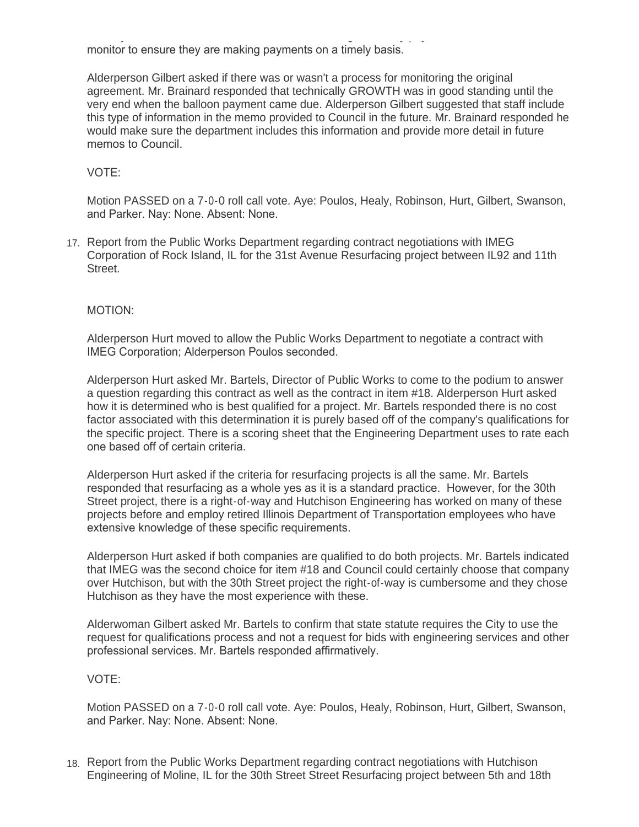monthly. Mr. Brainard noted that the benefit of having a monthly payment allows for staff to monitor to ensure they are making payments on a timely basis.

Alderperson Gilbert asked if there was or wasn't a process for monitoring the original agreement. Mr. Brainard responded that technically GROWTH was in good standing until the very end when the balloon payment came due. Alderperson Gilbert suggested that staff include this type of information in the memo provided to Council in the future. Mr. Brainard responded he would make sure the department includes this information and provide more detail in future memos to Council.

# VOTE:

Motion PASSED on a 7-0-0 roll call vote. Aye: Poulos, Healy, Robinson, Hurt, Gilbert, Swanson, and Parker. Nay: None. Absent: None.

17. Report from the Public Works Department regarding contract negotiations with IMEG Corporation of Rock Island, IL for the 31st Avenue Resurfacing project between IL92 and 11th Street.

## MOTION:

Alderperson Hurt moved to allow the Public Works Department to negotiate a contract with IMEG Corporation; Alderperson Poulos seconded.

Alderperson Hurt asked Mr. Bartels, Director of Public Works to come to the podium to answer a question regarding this contract as well as the contract in item #18. Alderperson Hurt asked how it is determined who is best qualified for a project. Mr. Bartels responded there is no cost factor associated with this determination it is purely based off of the company's qualifications for the specific project. There is a scoring sheet that the Engineering Department uses to rate each one based off of certain criteria.

Alderperson Hurt asked if the criteria for resurfacing projects is all the same. Mr. Bartels responded that resurfacing as a whole yes as it is a standard practice. However, for the 30th Street project, there is a right-of-way and Hutchison Engineering has worked on many of these projects before and employ retired Illinois Department of Transportation employees who have extensive knowledge of these specific requirements.

Alderperson Hurt asked if both companies are qualified to do both projects. Mr. Bartels indicated that IMEG was the second choice for item #18 and Council could certainly choose that company over Hutchison, but with the 30th Street project the right-of-way is cumbersome and they chose Hutchison as they have the most experience with these.

Alderwoman Gilbert asked Mr. Bartels to confirm that state statute requires the City to use the request for qualifications process and not a request for bids with engineering services and other professional services. Mr. Bartels responded affirmatively.

#### VOTE:

Motion PASSED on a 7-0-0 roll call vote. Aye: Poulos, Healy, Robinson, Hurt, Gilbert, Swanson, and Parker. Nay: None. Absent: None.

18. Report from the Public Works Department regarding contract negotiations with Hutchison Engineering of Moline, IL for the 30th Street Street Resurfacing project between 5th and 18th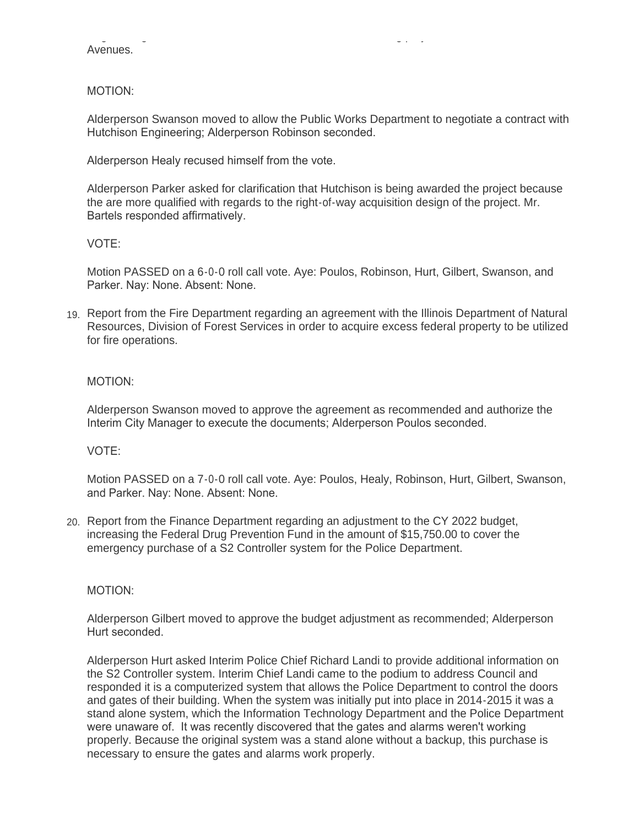Engineering of Moline, IL for the 30th Street Street Resurfacing project between 5th and 18th Avenues.

MOTION:

Alderperson Swanson moved to allow the Public Works Department to negotiate a contract with Hutchison Engineering; Alderperson Robinson seconded.

Alderperson Healy recused himself from the vote.

Alderperson Parker asked for clarification that Hutchison is being awarded the project because the are more qualified with regards to the right-of-way acquisition design of the project. Mr. Bartels responded affirmatively.

VOTE:

Motion PASSED on a 6-0-0 roll call vote. Aye: Poulos, Robinson, Hurt, Gilbert, Swanson, and Parker. Nay: None. Absent: None.

19. Report from the Fire Department regarding an agreement with the Illinois Department of Natural Resources, Division of Forest Services in order to acquire excess federal property to be utilized for fire operations.

MOTION:

Alderperson Swanson moved to approve the agreement as recommended and authorize the Interim City Manager to execute the documents; Alderperson Poulos seconded.

VOTE:

Motion PASSED on a 7-0-0 roll call vote. Aye: Poulos, Healy, Robinson, Hurt, Gilbert, Swanson, and Parker. Nay: None. Absent: None.

Report from the Finance Department regarding an adjustment to the CY 2022 budget, 20. increasing the Federal Drug Prevention Fund in the amount of \$15,750.00 to cover the emergency purchase of a S2 Controller system for the Police Department.

MOTION:

Alderperson Gilbert moved to approve the budget adjustment as recommended; Alderperson Hurt seconded.

Alderperson Hurt asked Interim Police Chief Richard Landi to provide additional information on the S2 Controller system. Interim Chief Landi came to the podium to address Council and responded it is a computerized system that allows the Police Department to control the doors and gates of their building. When the system was initially put into place in 2014-2015 it was a stand alone system, which the Information Technology Department and the Police Department were unaware of. It was recently discovered that the gates and alarms weren't working properly. Because the original system was a stand alone without a backup, this purchase is necessary to ensure the gates and alarms work properly.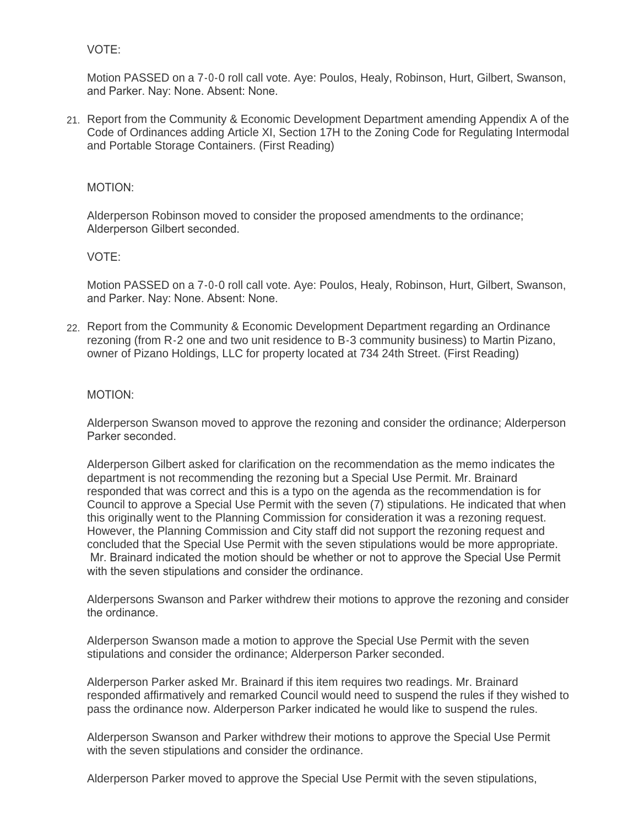## VOTE:

Motion PASSED on a 7-0-0 roll call vote. Aye: Poulos, Healy, Robinson, Hurt, Gilbert, Swanson, and Parker. Nay: None. Absent: None.

21. Report from the Community & Economic Development Department amending Appendix A of the Code of Ordinances adding Article XI, Section 17H to the Zoning Code for Regulating Intermodal and Portable Storage Containers. (First Reading)

#### MOTION:

Alderperson Robinson moved to consider the proposed amendments to the ordinance; Alderperson Gilbert seconded.

#### VOTE:

Motion PASSED on a 7-0-0 roll call vote. Aye: Poulos, Healy, Robinson, Hurt, Gilbert, Swanson, and Parker. Nay: None. Absent: None.

22. Report from the Community & Economic Development Department regarding an Ordinance rezoning (from R-2 one and two unit residence to B-3 community business) to Martin Pizano, owner of Pizano Holdings, LLC for property located at 734 24th Street. (First Reading)

#### MOTION:

Alderperson Swanson moved to approve the rezoning and consider the ordinance; Alderperson Parker seconded.

Alderperson Gilbert asked for clarification on the recommendation as the memo indicates the department is not recommending the rezoning but a Special Use Permit. Mr. Brainard responded that was correct and this is a typo on the agenda as the recommendation is for Council to approve a Special Use Permit with the seven (7) stipulations. He indicated that when this originally went to the Planning Commission for consideration it was a rezoning request. However, the Planning Commission and City staff did not support the rezoning request and concluded that the Special Use Permit with the seven stipulations would be more appropriate. Mr. Brainard indicated the motion should be whether or not to approve the Special Use Permit with the seven stipulations and consider the ordinance.

Alderpersons Swanson and Parker withdrew their motions to approve the rezoning and consider the ordinance.

Alderperson Swanson made a motion to approve the Special Use Permit with the seven stipulations and consider the ordinance; Alderperson Parker seconded.

Alderperson Parker asked Mr. Brainard if this item requires two readings. Mr. Brainard responded affirmatively and remarked Council would need to suspend the rules if they wished to pass the ordinance now. Alderperson Parker indicated he would like to suspend the rules.

Alderperson Swanson and Parker withdrew their motions to approve the Special Use Permit with the seven stipulations and consider the ordinance.

Alderperson Parker moved to approve the Special Use Permit with the seven stipulations,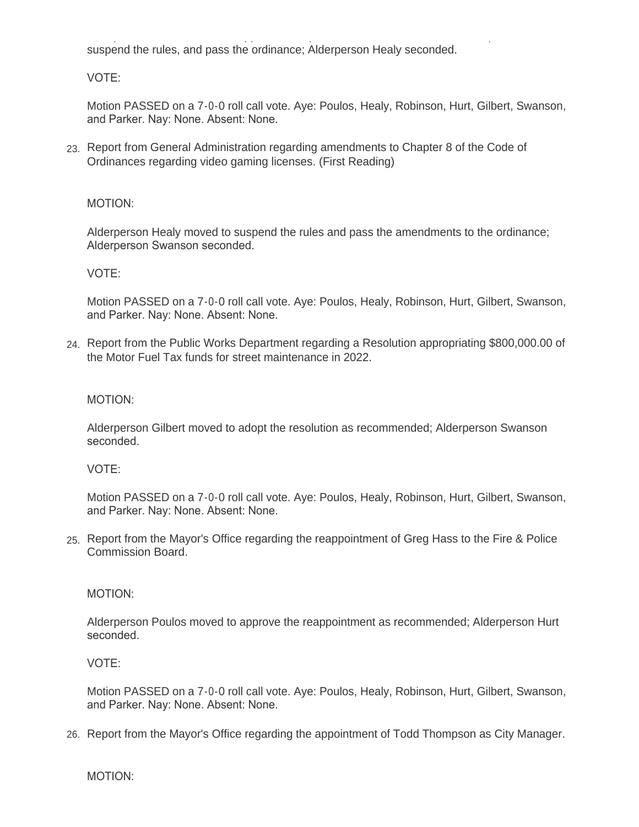Alderperson Parker moved to approve the Special Use Permit with the seven stipulations, suspend the rules, and pass the ordinance; Alderperson Healy seconded.

VOTE:

Motion PASSED on a 7-0-0 roll call vote. Aye: Poulos, Healy, Robinson, Hurt, Gilbert, Swanson, and Parker. Nay: None. Absent: None.

23. Report from General Administration regarding amendments to Chapter 8 of the Code of Ordinances regarding video gaming licenses. (First Reading)

# MOTION:

Alderperson Healy moved to suspend the rules and pass the amendments to the ordinance; Alderperson Swanson seconded.

VOTE:

Motion PASSED on a 7-0-0 roll call vote. Aye: Poulos, Healy, Robinson, Hurt, Gilbert, Swanson, and Parker. Nay: None. Absent: None.

Report from the Public Works Department regarding a Resolution appropriating \$800,000.00 of 24. the Motor Fuel Tax funds for street maintenance in 2022.

# MOTION:

Alderperson Gilbert moved to adopt the resolution as recommended; Alderperson Swanson seconded.

## VOTE:

Motion PASSED on a 7-0-0 roll call vote. Aye: Poulos, Healy, Robinson, Hurt, Gilbert, Swanson, and Parker. Nay: None. Absent: None.

25. Report from the Mayor's Office regarding the reappointment of Greg Hass to the Fire & Police Commission Board.

## MOTION:

Alderperson Poulos moved to approve the reappointment as recommended; Alderperson Hurt seconded.

## VOTE:

Motion PASSED on a 7-0-0 roll call vote. Aye: Poulos, Healy, Robinson, Hurt, Gilbert, Swanson, and Parker. Nay: None. Absent: None.

26. Report from the Mayor's Office regarding the appointment of Todd Thompson as City Manager.

MOTION: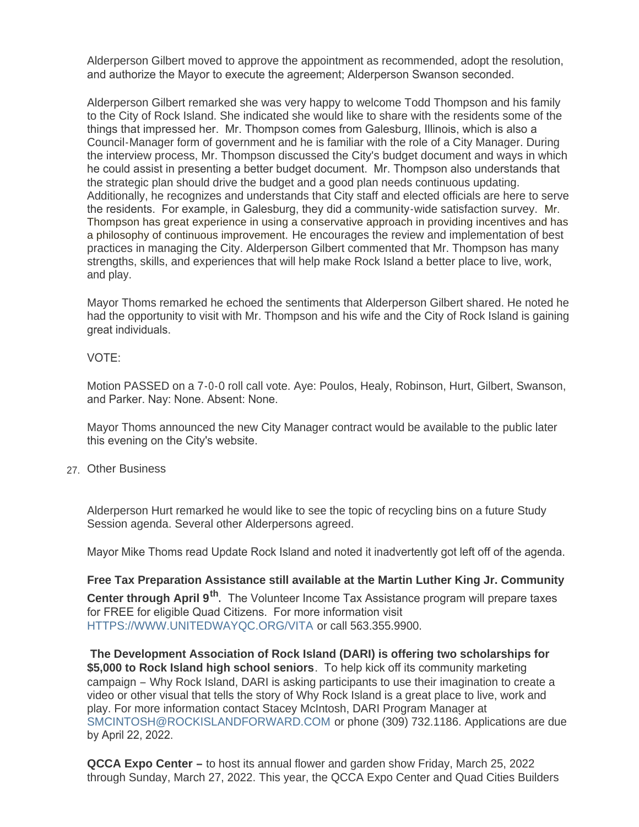Alderperson Gilbert moved to approve the appointment as recommended, adopt the resolution, and authorize the Mayor to execute the agreement; Alderperson Swanson seconded.

Alderperson Gilbert remarked she was very happy to welcome Todd Thompson and his family to the City of Rock Island. She indicated she would like to share with the residents some of the things that impressed her. Mr. Thompson comes from Galesburg, Illinois, which is also a Council-Manager form of government and he is familiar with the role of a City Manager. During the interview process, Mr. Thompson discussed the City's budget document and ways in which he could assist in presenting a better budget document. Mr. Thompson also understands that the strategic plan should drive the budget and a good plan needs continuous updating. Additionally, he recognizes and understands that City staff and elected officials are here to serve the residents. For example, in Galesburg, they did a community-wide satisfaction survey. Mr. Thompson has great experience in using a conservative approach in providing incentives and has a philosophy of continuous improvement. He encourages the review and implementation of best practices in managing the City. Alderperson Gilbert commented that Mr. Thompson has many strengths, skills, and experiences that will help make Rock Island a better place to live, work, and play.

Mayor Thoms remarked he echoed the sentiments that Alderperson Gilbert shared. He noted he had the opportunity to visit with Mr. Thompson and his wife and the City of Rock Island is gaining great individuals.

#### VOTE:

Motion PASSED on a 7-0-0 roll call vote. Aye: Poulos, Healy, Robinson, Hurt, Gilbert, Swanson, and Parker. Nay: None. Absent: None.

Mayor Thoms announced the new City Manager contract would be available to the public later this evening on the City's website.

Other Business 27.

Alderperson Hurt remarked he would like to see the topic of recycling bins on a future Study Session agenda. Several other Alderpersons agreed.

Mayor Mike Thoms read Update Rock Island and noted it inadvertently got left off of the agenda.

**Free Tax Preparation Assistance still available at the Martin Luther King Jr. Community Center through April 9th .** The Volunteer Income Tax Assistance program will prepare taxes [for FREE for eligible Quad Citizens. For more](https://www.unitedwayqc.org/vita?fbclid=IwAR0YYvGUD0PMtAiNNVZ4PVW5cydAWvO0u858e6Y2psfNGRf4JmCZagCwNh0) information visit HTTPS://WWW.UNITEDWAYQC.ORG/VITA or call 563.355.9900.

**The Development Association of Rock Island (DARI) is offering two scholarships for \$5,000 to Rock Island high school seniors**. To help kick off its community marketing campaign – Why Rock Island, DARI is asking participants to use their imagination to create a video or other visual that tells the story of Why Rock Island is a great place to live, work and play. For more information contact Stacey McIntosh, DARI Program Manager at [SMCINTOSH@ROCKISLANDFORWARD.COM](mailto:smcintosh@rockislandforward.com) or phone (309) 732.1186. Applications are due by April 22, 2022.

**QCCA Expo Center –** to host its annual flower and garden show Friday, March 25, 2022 through Sunday, March 27, 2022. This year, the QCCA Expo Center and Quad Cities Builders